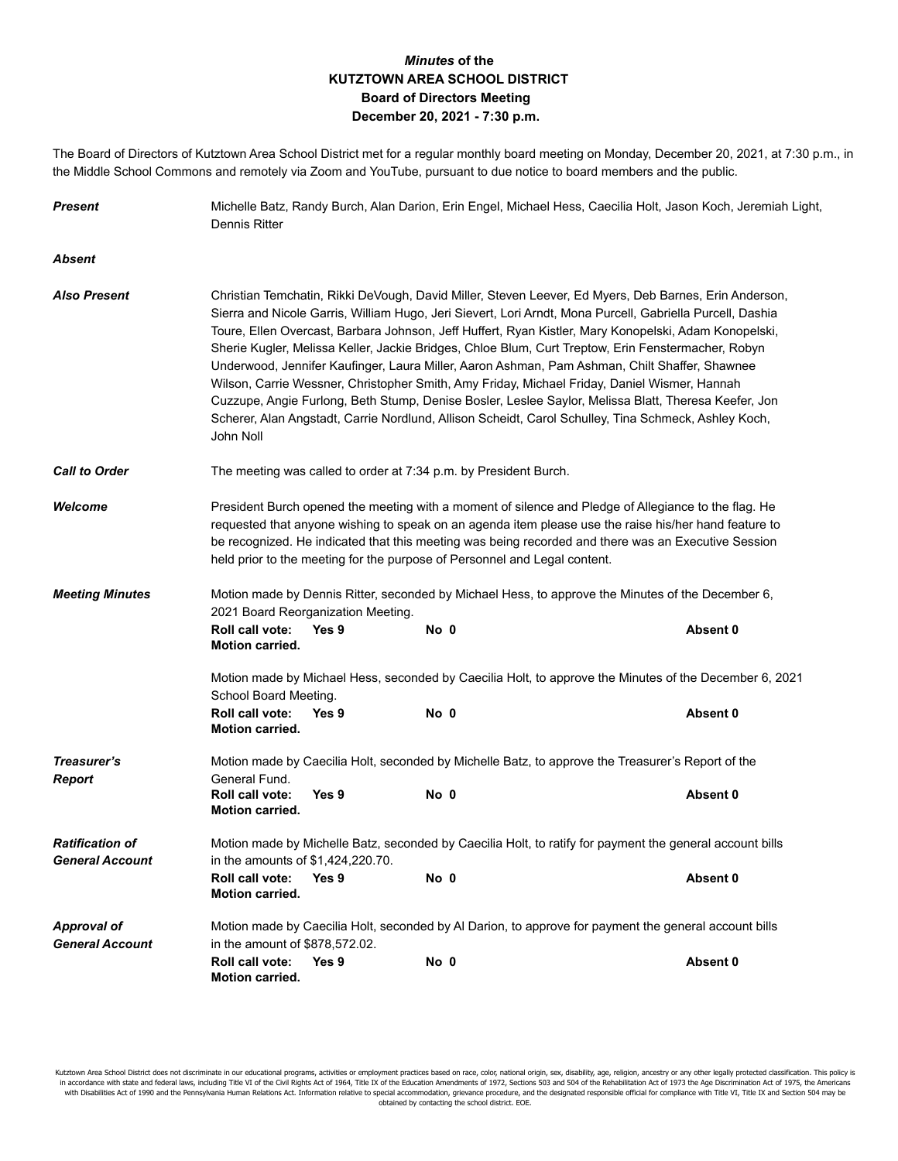## *Minutes* **of the KUTZTOWN AREA SCHOOL DISTRICT Board of Directors Meeting December 20, 2021 - 7:30 p.m.**

The Board of Directors of Kutztown Area School District met for a regular monthly board meeting on Monday, December 20, 2021, at 7:30 p.m., in the Middle School Commons and remotely via Zoom and YouTube, pursuant to due notice to board members and the public.

| <b>Present</b>                                   | Michelle Batz, Randy Burch, Alan Darion, Erin Engel, Michael Hess, Caecilia Holt, Jason Koch, Jeremiah Light,<br>Dennis Ritter                                                                                                                                                                                                                                                                                                                                                                                                                                                                                                                                                                                                                                                                                                                                  |                                                                                                          |      |                                                                                                       |          |  |  |
|--------------------------------------------------|-----------------------------------------------------------------------------------------------------------------------------------------------------------------------------------------------------------------------------------------------------------------------------------------------------------------------------------------------------------------------------------------------------------------------------------------------------------------------------------------------------------------------------------------------------------------------------------------------------------------------------------------------------------------------------------------------------------------------------------------------------------------------------------------------------------------------------------------------------------------|----------------------------------------------------------------------------------------------------------|------|-------------------------------------------------------------------------------------------------------|----------|--|--|
| Absent                                           |                                                                                                                                                                                                                                                                                                                                                                                                                                                                                                                                                                                                                                                                                                                                                                                                                                                                 |                                                                                                          |      |                                                                                                       |          |  |  |
| <b>Also Present</b>                              | Christian Temchatin, Rikki DeVough, David Miller, Steven Leever, Ed Myers, Deb Barnes, Erin Anderson,<br>Sierra and Nicole Garris, William Hugo, Jeri Sievert, Lori Arndt, Mona Purcell, Gabriella Purcell, Dashia<br>Toure, Ellen Overcast, Barbara Johnson, Jeff Huffert, Ryan Kistler, Mary Konopelski, Adam Konopelski,<br>Sherie Kugler, Melissa Keller, Jackie Bridges, Chloe Blum, Curt Treptow, Erin Fenstermacher, Robyn<br>Underwood, Jennifer Kaufinger, Laura Miller, Aaron Ashman, Pam Ashman, Chilt Shaffer, Shawnee<br>Wilson, Carrie Wessner, Christopher Smith, Amy Friday, Michael Friday, Daniel Wismer, Hannah<br>Cuzzupe, Angie Furlong, Beth Stump, Denise Bosler, Leslee Saylor, Melissa Blatt, Theresa Keefer, Jon<br>Scherer, Alan Angstadt, Carrie Nordlund, Allison Scheidt, Carol Schulley, Tina Schmeck, Ashley Koch,<br>John Noll |                                                                                                          |      |                                                                                                       |          |  |  |
| <b>Call to Order</b>                             | The meeting was called to order at 7:34 p.m. by President Burch.                                                                                                                                                                                                                                                                                                                                                                                                                                                                                                                                                                                                                                                                                                                                                                                                |                                                                                                          |      |                                                                                                       |          |  |  |
| Welcome                                          | President Burch opened the meeting with a moment of silence and Pledge of Allegiance to the flag. He<br>requested that anyone wishing to speak on an agenda item please use the raise his/her hand feature to<br>be recognized. He indicated that this meeting was being recorded and there was an Executive Session<br>held prior to the meeting for the purpose of Personnel and Legal content.                                                                                                                                                                                                                                                                                                                                                                                                                                                               |                                                                                                          |      |                                                                                                       |          |  |  |
| <b>Meeting Minutes</b>                           | Motion made by Dennis Ritter, seconded by Michael Hess, to approve the Minutes of the December 6,<br>2021 Board Reorganization Meeting.                                                                                                                                                                                                                                                                                                                                                                                                                                                                                                                                                                                                                                                                                                                         |                                                                                                          |      |                                                                                                       |          |  |  |
|                                                  | Roll call vote:<br><b>Motion carried.</b>                                                                                                                                                                                                                                                                                                                                                                                                                                                                                                                                                                                                                                                                                                                                                                                                                       | Yes 9                                                                                                    | No 0 |                                                                                                       | Absent 0 |  |  |
|                                                  | Motion made by Michael Hess, seconded by Caecilia Holt, to approve the Minutes of the December 6, 2021<br>School Board Meeting.                                                                                                                                                                                                                                                                                                                                                                                                                                                                                                                                                                                                                                                                                                                                 |                                                                                                          |      |                                                                                                       |          |  |  |
|                                                  | Roll call vote:<br><b>Motion carried.</b>                                                                                                                                                                                                                                                                                                                                                                                                                                                                                                                                                                                                                                                                                                                                                                                                                       | Yes 9                                                                                                    | No 0 |                                                                                                       | Absent 0 |  |  |
| Treasurer's<br><b>Report</b>                     | Motion made by Caecilia Holt, seconded by Michelle Batz, to approve the Treasurer's Report of the<br>General Fund.                                                                                                                                                                                                                                                                                                                                                                                                                                                                                                                                                                                                                                                                                                                                              |                                                                                                          |      |                                                                                                       |          |  |  |
|                                                  | Roll call vote:<br><b>Motion carried.</b>                                                                                                                                                                                                                                                                                                                                                                                                                                                                                                                                                                                                                                                                                                                                                                                                                       | Yes 9                                                                                                    | No 0 |                                                                                                       | Absent 0 |  |  |
| <b>Ratification of</b><br><b>General Account</b> | in the amounts of \$1,424,220.70.                                                                                                                                                                                                                                                                                                                                                                                                                                                                                                                                                                                                                                                                                                                                                                                                                               | Motion made by Michelle Batz, seconded by Caecilia Holt, to ratify for payment the general account bills |      |                                                                                                       |          |  |  |
|                                                  | <b>Roll call vote:</b><br><b>Motion carried.</b>                                                                                                                                                                                                                                                                                                                                                                                                                                                                                                                                                                                                                                                                                                                                                                                                                | Yes 9                                                                                                    | No 0 |                                                                                                       | Absent 0 |  |  |
| <b>Approval of</b><br><b>General Account</b>     | in the amount of \$878,572.02.                                                                                                                                                                                                                                                                                                                                                                                                                                                                                                                                                                                                                                                                                                                                                                                                                                  |                                                                                                          |      | Motion made by Caecilia Holt, seconded by Al Darion, to approve for payment the general account bills |          |  |  |
|                                                  | Roll call vote:<br><b>Motion carried.</b>                                                                                                                                                                                                                                                                                                                                                                                                                                                                                                                                                                                                                                                                                                                                                                                                                       | Yes 9                                                                                                    | No 0 |                                                                                                       | Absent 0 |  |  |

Kutztown Area School District does not discriminate in our educational programs, activities or employment practices based on race, color, national origin, sex, disability, age, religion, ancestry or any other legally prote in accordance with state and federal laws, including Title VI of the Civil Rights Act of 1964, Title IX of the Education Amendments of 1972, Sections 503 and 504 of the Rehabilitation Act of 1973 the Age Discrimination Act obtained by contacting the school district. EOE.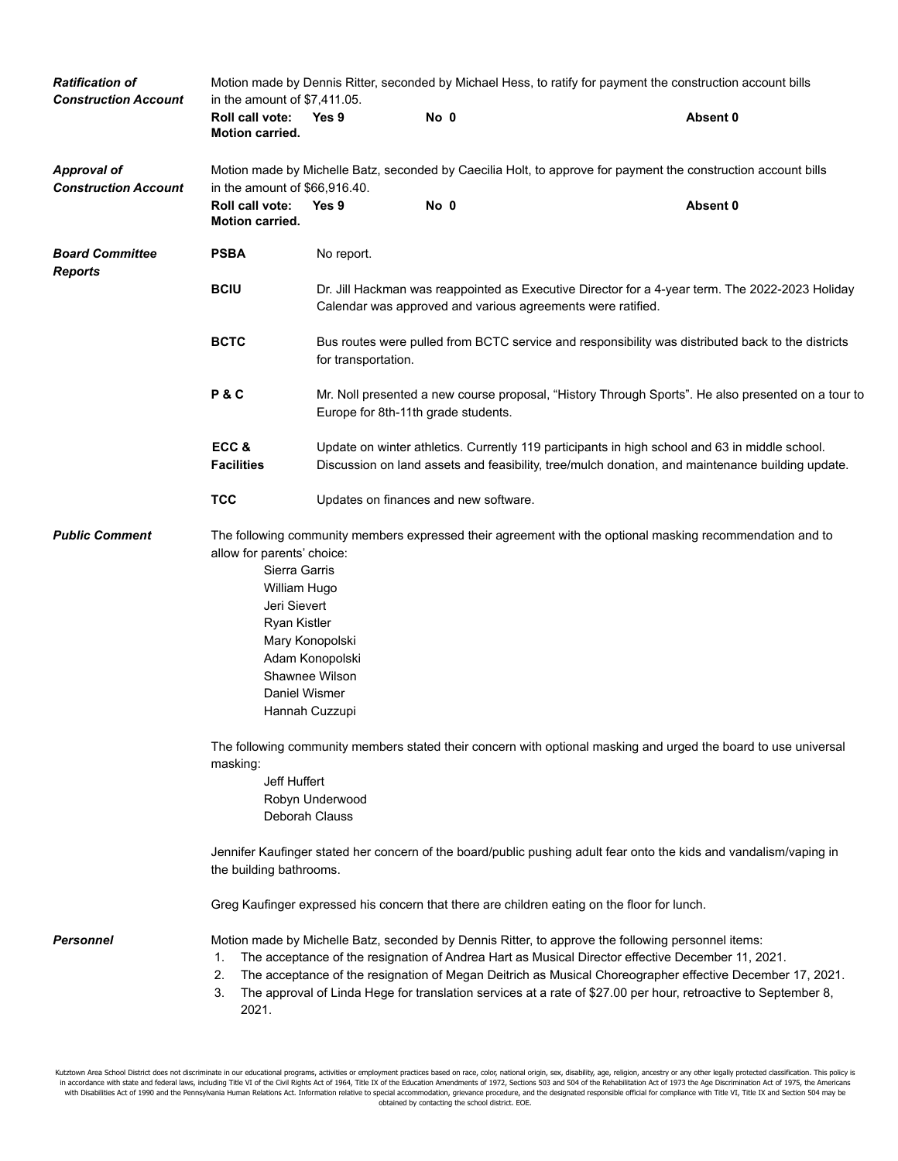| <b>Ratification of</b><br><b>Construction Account</b> | Motion made by Dennis Ritter, seconded by Michael Hess, to ratify for payment the construction account bills<br>in the amount of \$7,411.05.                                     |                                                                                                                                                                                                    |      |  |                                                                                                                                                                                                         |                                                                                                                                                                                                                             |  |  |
|-------------------------------------------------------|----------------------------------------------------------------------------------------------------------------------------------------------------------------------------------|----------------------------------------------------------------------------------------------------------------------------------------------------------------------------------------------------|------|--|---------------------------------------------------------------------------------------------------------------------------------------------------------------------------------------------------------|-----------------------------------------------------------------------------------------------------------------------------------------------------------------------------------------------------------------------------|--|--|
|                                                       | Roll call vote:<br>Motion carried.                                                                                                                                               | Yes 9                                                                                                                                                                                              | No 0 |  |                                                                                                                                                                                                         | Absent 0                                                                                                                                                                                                                    |  |  |
| <b>Approval of</b><br><b>Construction Account</b>     | in the amount of \$66,916.40.                                                                                                                                                    |                                                                                                                                                                                                    |      |  |                                                                                                                                                                                                         | Motion made by Michelle Batz, seconded by Caecilia Holt, to approve for payment the construction account bills                                                                                                              |  |  |
|                                                       | Roll call vote:<br>Motion carried.                                                                                                                                               | Yes 9                                                                                                                                                                                              | No 0 |  |                                                                                                                                                                                                         | Absent 0                                                                                                                                                                                                                    |  |  |
| <b>Board Committee</b><br><b>Reports</b>              | <b>PSBA</b>                                                                                                                                                                      | No report.                                                                                                                                                                                         |      |  |                                                                                                                                                                                                         |                                                                                                                                                                                                                             |  |  |
|                                                       | <b>BCIU</b>                                                                                                                                                                      |                                                                                                                                                                                                    |      |  | Calendar was approved and various agreements were ratified.                                                                                                                                             | Dr. Jill Hackman was reappointed as Executive Director for a 4-year term. The 2022-2023 Holiday                                                                                                                             |  |  |
|                                                       | <b>BCTC</b>                                                                                                                                                                      | Bus routes were pulled from BCTC service and responsibility was distributed back to the districts<br>for transportation.                                                                           |      |  |                                                                                                                                                                                                         |                                                                                                                                                                                                                             |  |  |
|                                                       | P&C                                                                                                                                                                              | Mr. Noll presented a new course proposal, "History Through Sports". He also presented on a tour to<br>Europe for 8th-11th grade students.                                                          |      |  |                                                                                                                                                                                                         |                                                                                                                                                                                                                             |  |  |
|                                                       | ECC&<br><b>Facilities</b>                                                                                                                                                        | Update on winter athletics. Currently 119 participants in high school and 63 in middle school.<br>Discussion on land assets and feasibility, tree/mulch donation, and maintenance building update. |      |  |                                                                                                                                                                                                         |                                                                                                                                                                                                                             |  |  |
|                                                       | <b>TCC</b>                                                                                                                                                                       | Updates on finances and new software.                                                                                                                                                              |      |  |                                                                                                                                                                                                         |                                                                                                                                                                                                                             |  |  |
| <b>Public Comment</b>                                 | allow for parents' choice:<br>Sierra Garris<br>William Hugo<br>Jeri Sievert<br>Ryan Kistler<br>Daniel Wismer                                                                     | Mary Konopolski<br>Adam Konopolski<br>Shawnee Wilson<br>Hannah Cuzzupi                                                                                                                             |      |  |                                                                                                                                                                                                         | The following community members expressed their agreement with the optional masking recommendation and to                                                                                                                   |  |  |
|                                                       | The following community members stated their concern with optional masking and urged the board to use universal<br>masking:<br>Jeff Huffert<br>Robyn Underwood<br>Deborah Clauss |                                                                                                                                                                                                    |      |  |                                                                                                                                                                                                         |                                                                                                                                                                                                                             |  |  |
|                                                       | Jennifer Kaufinger stated her concern of the board/public pushing adult fear onto the kids and vandalism/vaping in<br>the building bathrooms.                                    |                                                                                                                                                                                                    |      |  |                                                                                                                                                                                                         |                                                                                                                                                                                                                             |  |  |
|                                                       | Greg Kaufinger expressed his concern that there are children eating on the floor for lunch.                                                                                      |                                                                                                                                                                                                    |      |  |                                                                                                                                                                                                         |                                                                                                                                                                                                                             |  |  |
| <b>Personnel</b>                                      | 1.<br>2.<br>3.<br>2021.                                                                                                                                                          |                                                                                                                                                                                                    |      |  | Motion made by Michelle Batz, seconded by Dennis Ritter, to approve the following personnel items:<br>The acceptance of the resignation of Andrea Hart as Musical Director effective December 11, 2021. | The acceptance of the resignation of Megan Deitrich as Musical Choreographer effective December 17, 2021.<br>The approval of Linda Hege for translation services at a rate of \$27.00 per hour, retroactive to September 8, |  |  |

Kutztown Area School District does not discriminate in our educational programs, activities or employment practices based on race, color, national origin, sex, disability, age, religion, ancestry or any other legally prote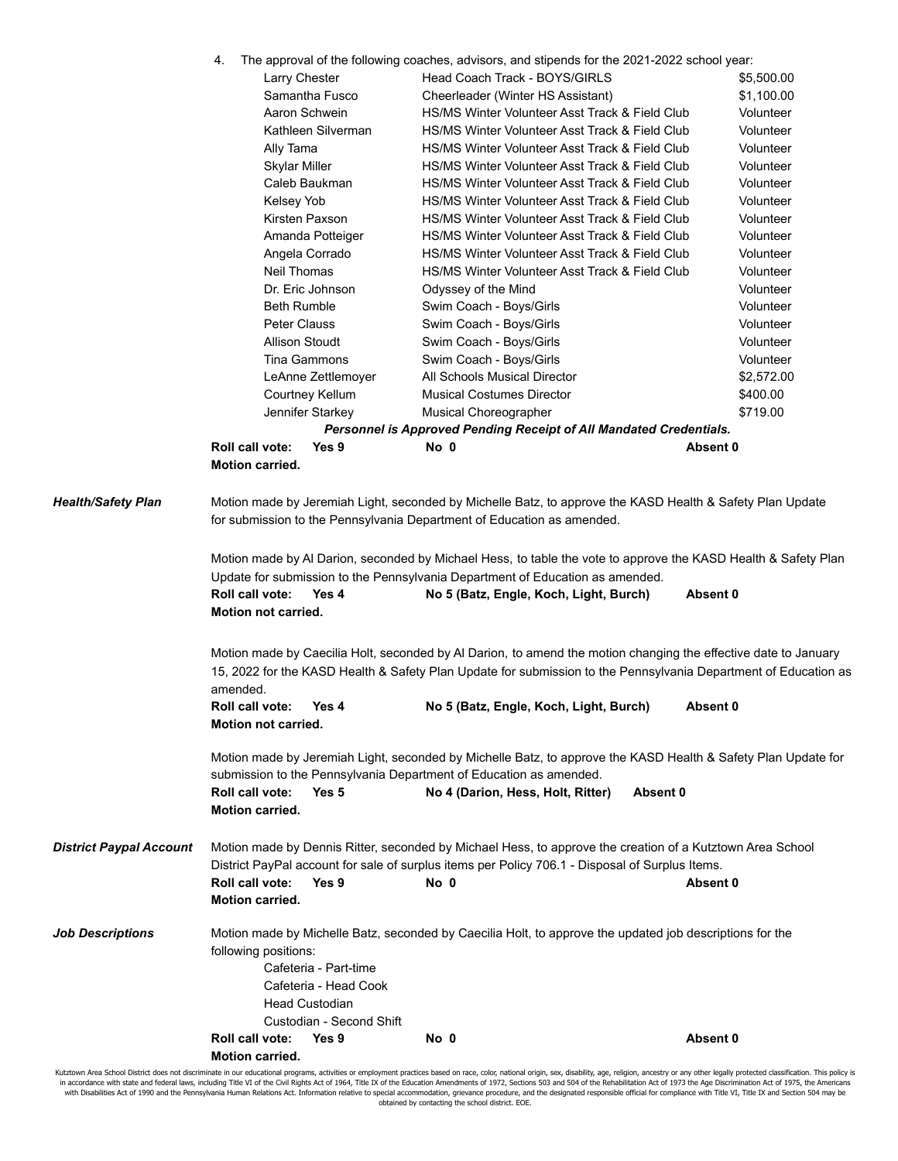| The approval of the following coaches, advisors, and stipends for the 2021-2022 school year: |  |  |  |
|----------------------------------------------------------------------------------------------|--|--|--|
|                                                                                              |  |  |  |

|                                | Larry Chester                                    |                                                                         |                                  | Head Coach Track - BOYS/GIRLS                                                                                                                                                                                                      |          | \$5,500.00 |
|--------------------------------|--------------------------------------------------|-------------------------------------------------------------------------|----------------------------------|------------------------------------------------------------------------------------------------------------------------------------------------------------------------------------------------------------------------------------|----------|------------|
|                                |                                                  | Samantha Fusco                                                          |                                  | Cheerleader (Winter HS Assistant)                                                                                                                                                                                                  |          | \$1,100.00 |
|                                |                                                  | Aaron Schwein                                                           |                                  | HS/MS Winter Volunteer Asst Track & Field Club                                                                                                                                                                                     |          | Volunteer  |
|                                |                                                  | Kathleen Silverman                                                      |                                  | HS/MS Winter Volunteer Asst Track & Field Club                                                                                                                                                                                     |          | Volunteer  |
|                                | Ally Tama                                        |                                                                         |                                  | HS/MS Winter Volunteer Asst Track & Field Club                                                                                                                                                                                     |          | Volunteer  |
|                                | <b>Skylar Miller</b>                             |                                                                         |                                  | HS/MS Winter Volunteer Asst Track & Field Club                                                                                                                                                                                     |          | Volunteer  |
|                                |                                                  | Caleb Baukman                                                           |                                  | HS/MS Winter Volunteer Asst Track & Field Club                                                                                                                                                                                     |          | Volunteer  |
|                                | Kelsey Yob                                       |                                                                         |                                  | HS/MS Winter Volunteer Asst Track & Field Club                                                                                                                                                                                     |          | Volunteer  |
|                                |                                                  | Kirsten Paxson                                                          |                                  | HS/MS Winter Volunteer Asst Track & Field Club                                                                                                                                                                                     |          | Volunteer  |
|                                |                                                  | Amanda Potteiger                                                        |                                  | HS/MS Winter Volunteer Asst Track & Field Club                                                                                                                                                                                     |          | Volunteer  |
|                                |                                                  | Angela Corrado                                                          |                                  | HS/MS Winter Volunteer Asst Track & Field Club                                                                                                                                                                                     |          | Volunteer  |
|                                | <b>Neil Thomas</b>                               |                                                                         |                                  | HS/MS Winter Volunteer Asst Track & Field Club                                                                                                                                                                                     |          | Volunteer  |
|                                |                                                  | Dr. Eric Johnson                                                        | Odyssey of the Mind              |                                                                                                                                                                                                                                    |          | Volunteer  |
|                                | <b>Beth Rumble</b>                               |                                                                         | Swim Coach - Boys/Girls          |                                                                                                                                                                                                                                    |          | Volunteer  |
|                                | Peter Clauss                                     |                                                                         | Swim Coach - Boys/Girls          |                                                                                                                                                                                                                                    |          | Volunteer  |
|                                | Allison Stoudt                                   |                                                                         | Swim Coach - Boys/Girls          |                                                                                                                                                                                                                                    |          | Volunteer  |
|                                |                                                  | Tina Gammons                                                            | Swim Coach - Boys/Girls          |                                                                                                                                                                                                                                    |          | Volunteer  |
|                                |                                                  | LeAnne Zettlemoyer                                                      | All Schools Musical Director     |                                                                                                                                                                                                                                    |          | \$2,572.00 |
|                                |                                                  | Courtney Kellum                                                         | <b>Musical Costumes Director</b> |                                                                                                                                                                                                                                    |          | \$400.00   |
|                                |                                                  | Jennifer Starkey                                                        | <b>Musical Choreographer</b>     |                                                                                                                                                                                                                                    |          | \$719.00   |
|                                |                                                  |                                                                         |                                  | Personnel is Approved Pending Receipt of All Mandated Credentials.                                                                                                                                                                 |          |            |
|                                | Roll call vote:                                  | Yes 9                                                                   | No 0                             |                                                                                                                                                                                                                                    | Absent 0 |            |
|                                | <b>Motion carried.</b>                           |                                                                         |                                  |                                                                                                                                                                                                                                    |          |            |
|                                | Roll call vote:<br><b>Motion not carried.</b>    | Yes 4                                                                   |                                  | No 5 (Batz, Engle, Koch, Light, Burch)                                                                                                                                                                                             | Absent 0 |            |
|                                | amended.                                         |                                                                         |                                  | Motion made by Caecilia Holt, seconded by AI Darion, to amend the motion changing the effective date to January<br>15, 2022 for the KASD Health & Safety Plan Update for submission to the Pennsylvania Department of Education as |          |            |
|                                | Roll call vote:<br>Motion not carried.           | Yes 4                                                                   |                                  | No 5 (Batz, Engle, Koch, Light, Burch)                                                                                                                                                                                             | Absent 0 |            |
|                                |                                                  |                                                                         |                                  | Motion made by Jeremiah Light, seconded by Michelle Batz, to approve the KASD Health & Safety Plan Update for<br>submission to the Pennsylvania Department of Education as amended.                                                |          |            |
|                                | Roll call vote:<br><b>Motion carried.</b>        | Yes 5                                                                   |                                  | No 4 (Darion, Hess, Holt, Ritter)                                                                                                                                                                                                  | Absent 0 |            |
| <b>District Paypal Account</b> | Roll call vote:                                  | Yes 9                                                                   | No 0                             | Motion made by Dennis Ritter, seconded by Michael Hess, to approve the creation of a Kutztown Area School<br>District PayPal account for sale of surplus items per Policy 706.1 - Disposal of Surplus Items.                       | Absent 0 |            |
|                                | Motion carried.                                  |                                                                         |                                  |                                                                                                                                                                                                                                    |          |            |
| <b>Job Descriptions</b>        | following positions:                             | Cafeteria - Part-time<br>Cafeteria - Head Cook<br><b>Head Custodian</b> |                                  | Motion made by Michelle Batz, seconded by Caecilia Holt, to approve the updated job descriptions for the                                                                                                                           |          |            |
|                                |                                                  | Custodian - Second Shift                                                |                                  |                                                                                                                                                                                                                                    |          |            |
|                                | <b>Roll call vote:</b><br><b>Motion carried.</b> | Yes 9                                                                   | No 0                             |                                                                                                                                                                                                                                    | Absent 0 |            |

Kutztown Area School District does not discriminate in our educational programs, activities or employment practices based on race, color, national origin, sex, disability, age, religion, ancestry or any other legally prote